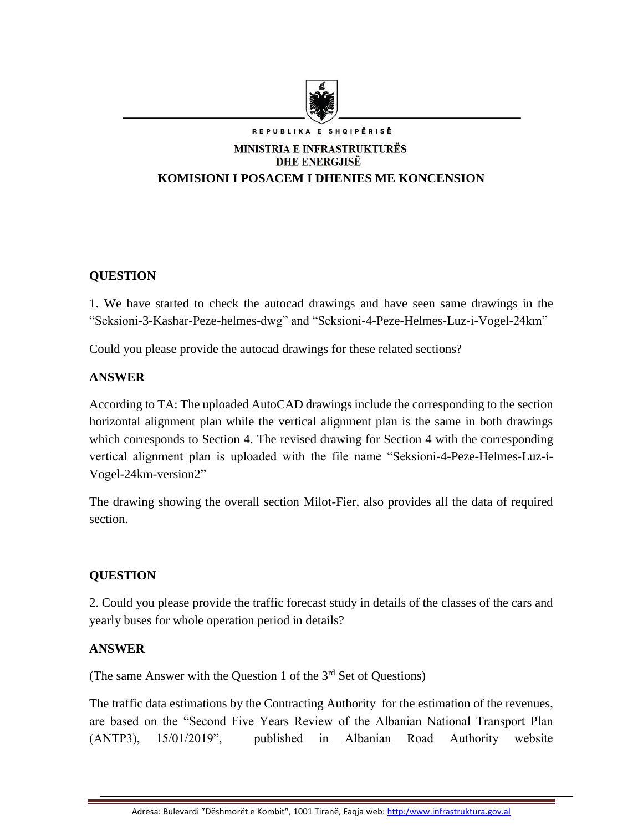

# MINISTRIA E INFRASTRUKTURËS **DHE ENERGJISË KOMISIONI I POSACEM I DHENIES ME KONCENSION**

## **QUESTION**

1. We have started to check the autocad drawings and have seen same drawings in the "Seksioni-3-Kashar-Peze-helmes-dwg" and "Seksioni-4-Peze-Helmes-Luz-i-Vogel-24km"

Could you please provide the autocad drawings for these related sections?

### **ANSWER**

According to TA: The uploaded AutoCAD drawings include the corresponding to the section horizontal alignment plan while the vertical alignment plan is the same in both drawings which corresponds to Section 4. The revised drawing for Section 4 with the corresponding vertical alignment plan is uploaded with the file name "Seksioni-4-Peze-Helmes-Luz-i-Vogel-24km-version2"

The drawing showing the overall section Milot-Fier, also provides all the data of required section.

### **QUESTION**

2. Could you please provide the traffic forecast study in details of the classes of the cars and yearly buses for whole operation period in details?

#### **ANSWER**

(The same Answer with the Question 1 of the  $3<sup>rd</sup>$  Set of Questions)

The traffic data estimations by the Contracting Authority for the estimation of the revenues, are based on the "Second Five Years Review of the Albanian National Transport Plan (ANTP3), 15/01/2019", published in Albanian Road Authority website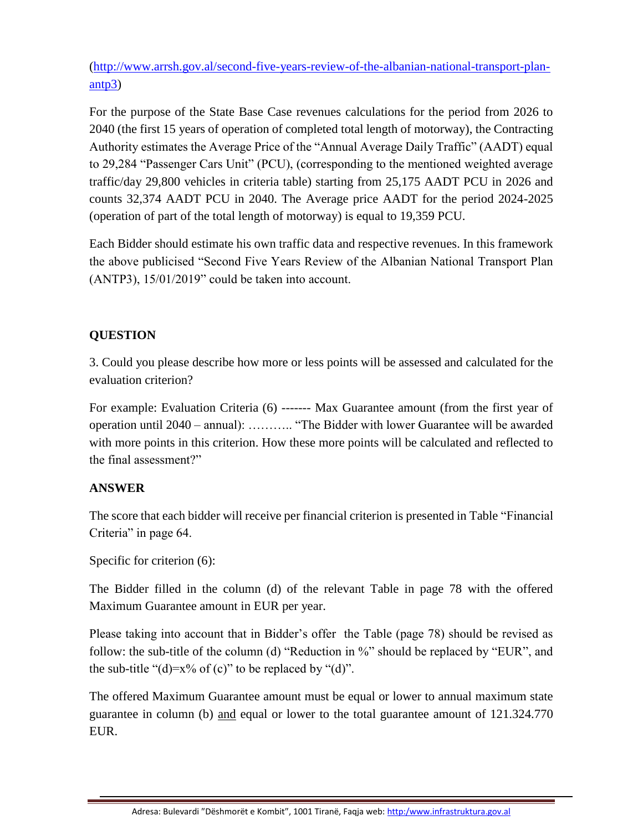[\(http://www.arrsh.gov.al/second-five-years-review-of-the-albanian-national-transport-plan](http://www.arrsh.gov.al/second-five-years-review-of-the-albanian-national-transport-plan-antp3)[antp3\)](http://www.arrsh.gov.al/second-five-years-review-of-the-albanian-national-transport-plan-antp3)

For the purpose of the State Base Case revenues calculations for the period from 2026 to 2040 (the first 15 years of operation of completed total length of motorway), the Contracting Authority estimates the Average Price of the "Annual Average Daily Traffic" (AADT) equal to 29,284 "Passenger Cars Unit" (PCU), (corresponding to the mentioned weighted average traffic/day 29,800 vehicles in criteria table) starting from 25,175 AADT PCU in 2026 and counts 32,374 AADT PCU in 2040. The Average price AADT for the period 2024-2025 (operation of part of the total length of motorway) is equal to 19,359 PCU.

Each Bidder should estimate his own traffic data and respective revenues. In this framework the above publicised "Second Five Years Review of the Albanian National Transport Plan (ANTP3), 15/01/2019" could be taken into account.

### **QUESTION**

3. Could you please describe how more or less points will be assessed and calculated for the evaluation criterion?

For example: Evaluation Criteria (6) ------- Max Guarantee amount (from the first year of operation until 2040 – annual): ……….. "The Bidder with lower Guarantee will be awarded with more points in this criterion. How these more points will be calculated and reflected to the final assessment?"

### **ANSWER**

The score that each bidder will receive per financial criterion is presented in Table "Financial Criteria" in page 64.

Specific for criterion (6):

The Bidder filled in the column (d) of the relevant Table in page 78 with the offered Maximum Guarantee amount in EUR per year.

Please taking into account that in Bidder's offer the Table (page 78) should be revised as follow: the sub-title of the column (d) "Reduction in %" should be replaced by "EUR", and the sub-title " $(d)=x\%$  of  $(c)$ " to be replaced by " $(d)$ ".

The offered Maximum Guarantee amount must be equal or lower to annual maximum state guarantee in column (b) and equal or lower to the total guarantee amount of 121.324.770 EUR.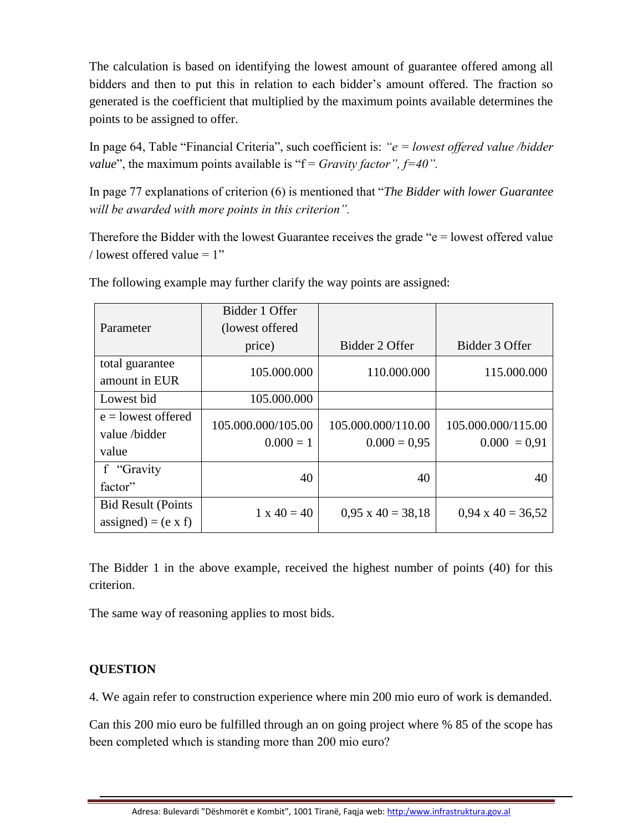The calculation is based on identifying the lowest amount of guarantee offered among all bidders and then to put this in relation to each bidder's amount offered. The fraction so generated is the coefficient that multiplied by the maximum points available determines the points to be assigned to offer.

In page 64, Table "Financial Criteria", such coefficient is: *"e = lowest offered value /bidder value*", the maximum points available is " $f =$  *Gravity factor*",  $f=40$ ".

In page 77 explanations of criterion (6) is mentioned that "*The Bidder with lower Guarantee will be awarded with more points in this criterion".*

Therefore the Bidder with the lowest Guarantee receives the grade "e = lowest offered value / lowest offered value  $= 1$ "

| Parameter                                               | Bidder 1 Offer<br>(lowest offered) |                                      |                                      |
|---------------------------------------------------------|------------------------------------|--------------------------------------|--------------------------------------|
|                                                         | price)                             | Bidder 2 Offer                       | Bidder 3 Offer                       |
| total guarantee<br>amount in EUR                        | 105.000.000                        | 110.000.000                          | 115.000.000                          |
| Lowest bid                                              | 105.000.000                        |                                      |                                      |
| $e =$ lowest offered<br>value/bidder<br>value           | 105.000.000/105.00<br>$0.000 = 1$  | 105.000.000/110.00<br>$0.000 = 0.95$ | 105.000.000/115.00<br>$0.000 = 0.91$ |
| f "Gravity<br>factor"                                   | 40                                 | 40                                   | 40                                   |
| <b>Bid Result (Points</b><br>assigned) = $(e \times f)$ | $1 \times 40 = 40$                 | $0.95 \times 40 = 38.18$             | $0.94 \times 40 = 36,52$             |

The following example may further clarify the way points are assigned:

The Bidder 1 in the above example, received the highest number of points (40) for this criterion.

The same way of reasoning applies to most bids.

### **QUESTION**

4. We again refer to construction experience where min 200 mio euro of work is demanded.

Can this 200 mio euro be fulfilled through an on going project where % 85 of the scope has been completed whıch is standing more than 200 mio euro?